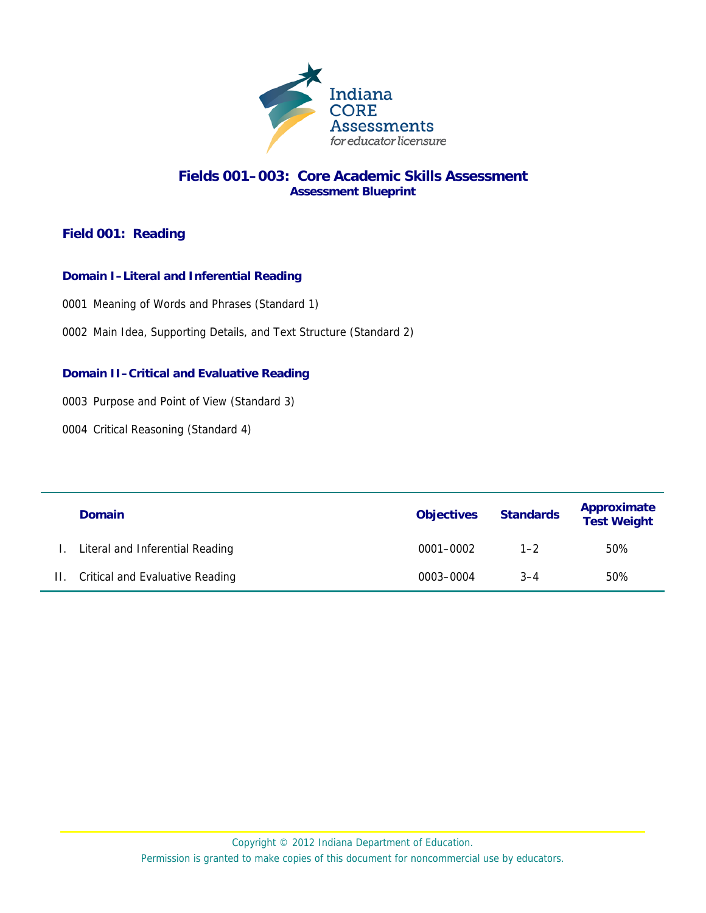

## **Fields 001–003: Core Academic Skills Assessment Assessment Blueprint**

# **Field 001: Reading**

## **Domain I–Literal and Inferential Reading**

0001 Meaning of Words and Phrases (Standard 1)

0002 Main Idea, Supporting Details, and Text Structure (Standard 2)

## **Domain II–Critical and Evaluative Reading**

0003 Purpose and Point of View (Standard 3)

0004 Critical Reasoning (Standard 4)

|    | <b>Domain</b>                          | <b>Objectives</b> | <b>Standards</b> | Approximate<br><b>Test Weight</b> |
|----|----------------------------------------|-------------------|------------------|-----------------------------------|
|    | Literal and Inferential Reading        | 0001-0002         | $1 - 2$          | 50%                               |
| Н. | <b>Critical and Evaluative Reading</b> | 0003-0004         | $3 - 4$          | 50%                               |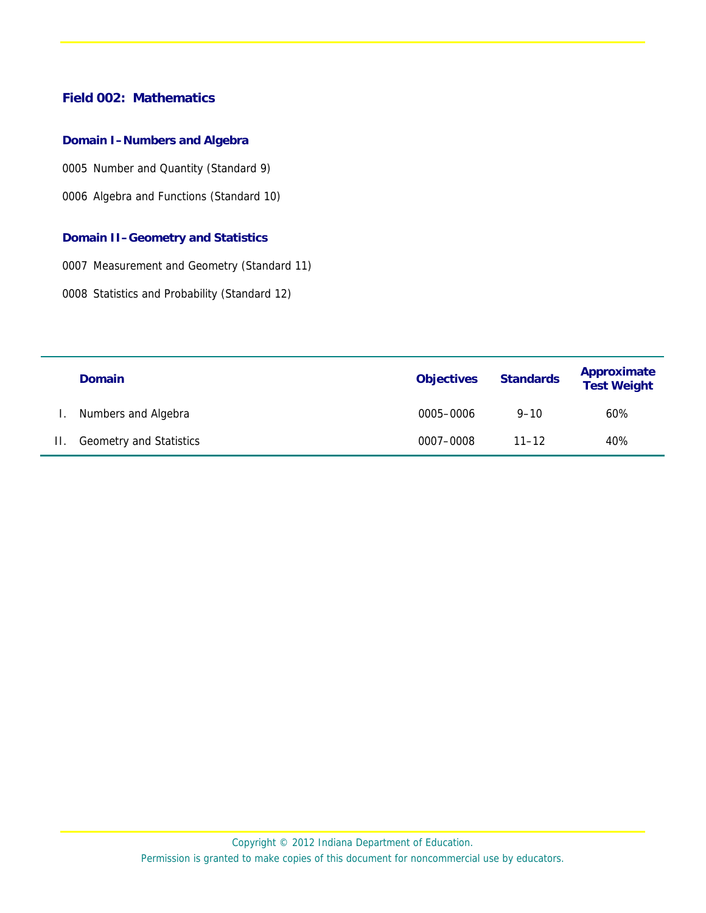## **Field 002: Mathematics**

#### **Domain I–Numbers and Algebra**

0005 Number and Quantity (Standard 9)

0006 Algebra and Functions (Standard 10)

#### **Domain II–Geometry and Statistics**

0007 Measurement and Geometry (Standard 11)

0008 Statistics and Probability (Standard 12)

|         | <b>Domain</b>                  | <b>Objectives</b> | <b>Standards</b> | Approximate<br><b>Test Weight</b> |
|---------|--------------------------------|-------------------|------------------|-----------------------------------|
| L.      | Numbers and Algebra            | 0005-0006         | $9 - 10$         | 60%                               |
| $\Pi$ . | <b>Geometry and Statistics</b> | 0007-0008         | $11 - 12$        | 40%                               |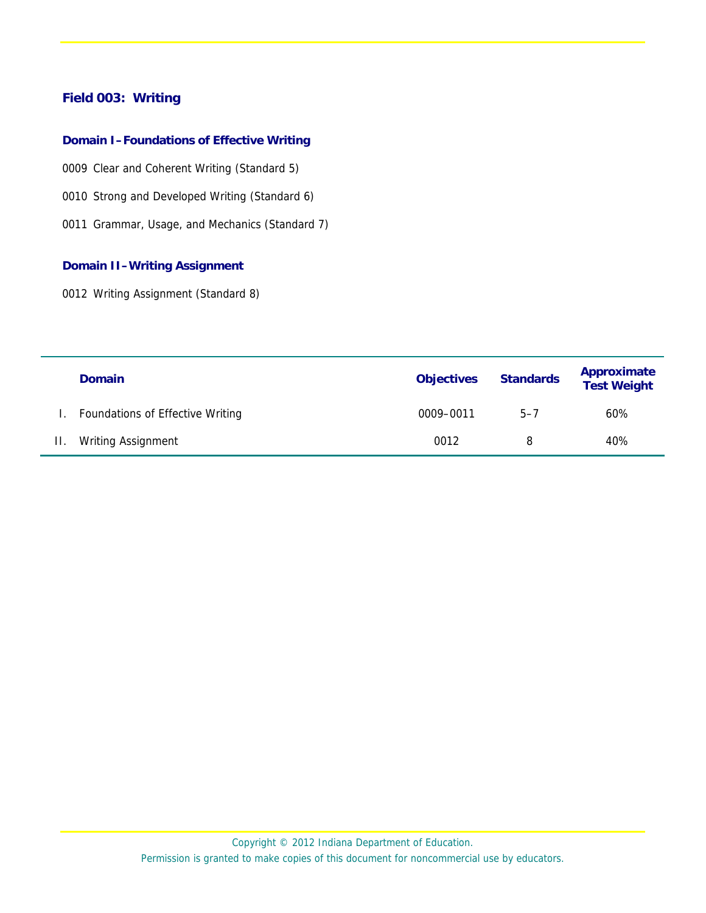# **Field 003: Writing**

#### **Domain I–Foundations of Effective Writing**

- 0009 Clear and Coherent Writing (Standard 5)
- 0010 Strong and Developed Writing (Standard 6)
- 0011 Grammar, Usage, and Mechanics (Standard 7)

#### **Domain II–Writing Assignment**

0012 Writing Assignment (Standard 8)

|         | <b>Domain</b>                    | <b>Objectives</b> | <b>Standards</b> | Approximate<br><b>Test Weight</b> |
|---------|----------------------------------|-------------------|------------------|-----------------------------------|
|         | Foundations of Effective Writing | 0009-0011         | $5 - 7$          | 60%                               |
| $\Pi$ . | <b>Writing Assignment</b>        | 0012              | 8                | 40%                               |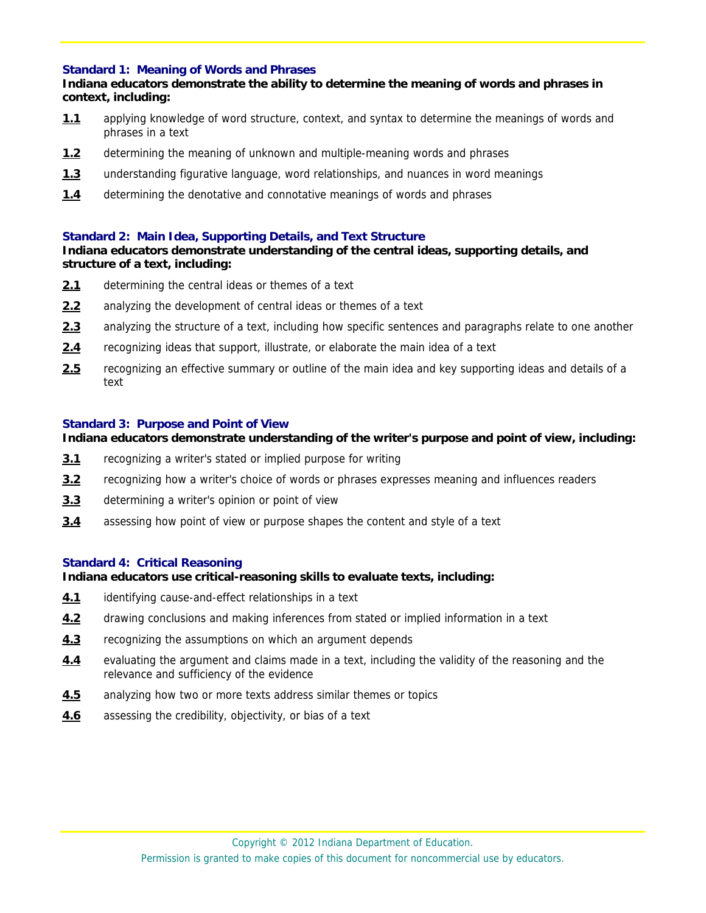#### **Standard 1: Meaning of Words and Phrases**

## **Indiana educators demonstrate the ability to determine the meaning of words and phrases in context, including:**

- **1.1** applying knowledge of word structure, context, and syntax to determine the meanings of words and phrases in a text
- **1.2** determining the meaning of unknown and multiple-meaning words and phrases
- **1.3** understanding figurative language, word relationships, and nuances in word meanings
- **1.4** determining the denotative and connotative meanings of words and phrases

## **Standard 2: Main Idea, Supporting Details, and Text Structure**

#### **Indiana educators demonstrate understanding of the central ideas, supporting details, and structure of a text, including:**

- **2.1** determining the central ideas or themes of a text
- **2.2** analyzing the development of central ideas or themes of a text
- **2.3** analyzing the structure of a text, including how specific sentences and paragraphs relate to one another
- **2.4** recognizing ideas that support, illustrate, or elaborate the main idea of a text
- **2.5** recognizing an effective summary or outline of the main idea and key supporting ideas and details of a text

#### **Standard 3: Purpose and Point of View**

## **Indiana educators demonstrate understanding of the writer's purpose and point of view, including:**

- **3.1** recognizing a writer's stated or implied purpose for writing
- **3.2** recognizing how a writer's choice of words or phrases expresses meaning and influences readers
- **3.3** determining a writer's opinion or point of view
- **3.4** assessing how point of view or purpose shapes the content and style of a text

#### **Standard 4: Critical Reasoning**

#### **Indiana educators use critical-reasoning skills to evaluate texts, including:**

- **4.1** identifying cause-and-effect relationships in a text
- **4.2** drawing conclusions and making inferences from stated or implied information in a text
- **4.3** recognizing the assumptions on which an argument depends
- **4.4** evaluating the argument and claims made in a text, including the validity of the reasoning and the relevance and sufficiency of the evidence
- **4.5** analyzing how two or more texts address similar themes or topics
- **4.6** assessing the credibility, objectivity, or bias of a text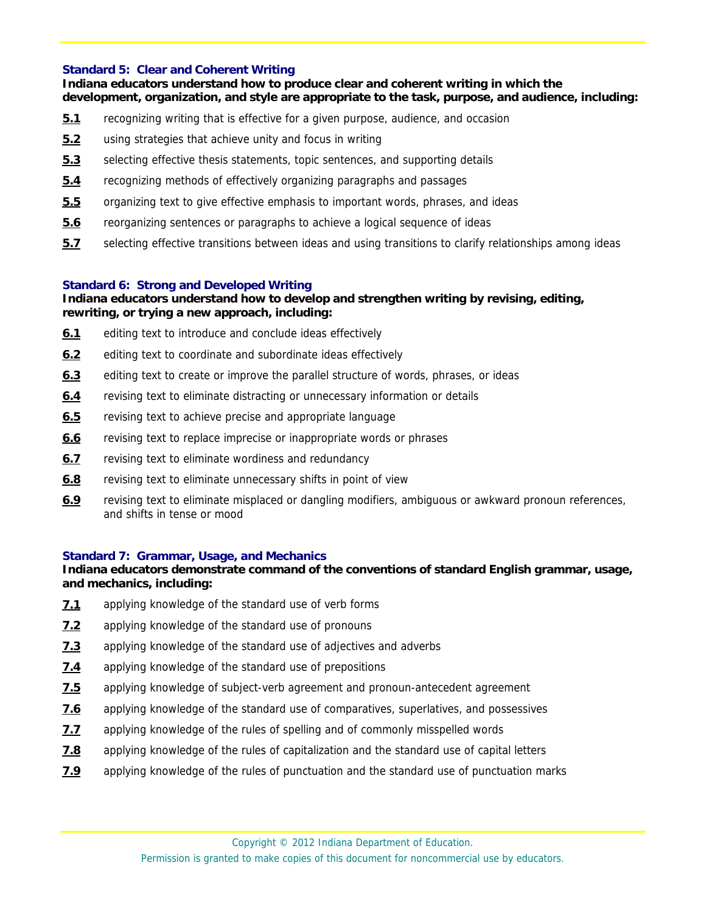## **Standard 5: Clear and Coherent Writing**

**Indiana educators understand how to produce clear and coherent writing in which the development, organization, and style are appropriate to the task, purpose, and audience, including:** 

- **5.1** recognizing writing that is effective for a given purpose, audience, and occasion
- **5.2** using strategies that achieve unity and focus in writing
- **5.3** selecting effective thesis statements, topic sentences, and supporting details
- **5.4** recognizing methods of effectively organizing paragraphs and passages
- **5.5** organizing text to give effective emphasis to important words, phrases, and ideas
- **5.6** reorganizing sentences or paragraphs to achieve a logical sequence of ideas
- **5.7** selecting effective transitions between ideas and using transitions to clarify relationships among ideas

## **Standard 6: Strong and Developed Writing**

## **Indiana educators understand how to develop and strengthen writing by revising, editing, rewriting, or trying a new approach, including:**

- **6.1** editing text to introduce and conclude ideas effectively
- **6.2** editing text to coordinate and subordinate ideas effectively
- **6.3** editing text to create or improve the parallel structure of words, phrases, or ideas
- **6.4** revising text to eliminate distracting or unnecessary information or details
- **6.5** revising text to achieve precise and appropriate language
- **6.6** revising text to replace imprecise or inappropriate words or phrases
- **6.7** revising text to eliminate wordiness and redundancy
- **6.8** revising text to eliminate unnecessary shifts in point of view
- **6.9** revising text to eliminate misplaced or dangling modifiers, ambiguous or awkward pronoun references, and shifts in tense or mood

#### **Standard 7: Grammar, Usage, and Mechanics**

## **Indiana educators demonstrate command of the conventions of standard English grammar, usage, and mechanics, including:**

- **7.1** applying knowledge of the standard use of verb forms
- **7.2** applying knowledge of the standard use of pronouns
- **7.3** applying knowledge of the standard use of adjectives and adverbs
- **7.4** applying knowledge of the standard use of prepositions
- **7.5** applying knowledge of subject-verb agreement and pronoun-antecedent agreement
- **7.6** applying knowledge of the standard use of comparatives, superlatives, and possessives
- **7.7** applying knowledge of the rules of spelling and of commonly misspelled words
- **7.8** applying knowledge of the rules of capitalization and the standard use of capital letters
- **7.9** applying knowledge of the rules of punctuation and the standard use of punctuation marks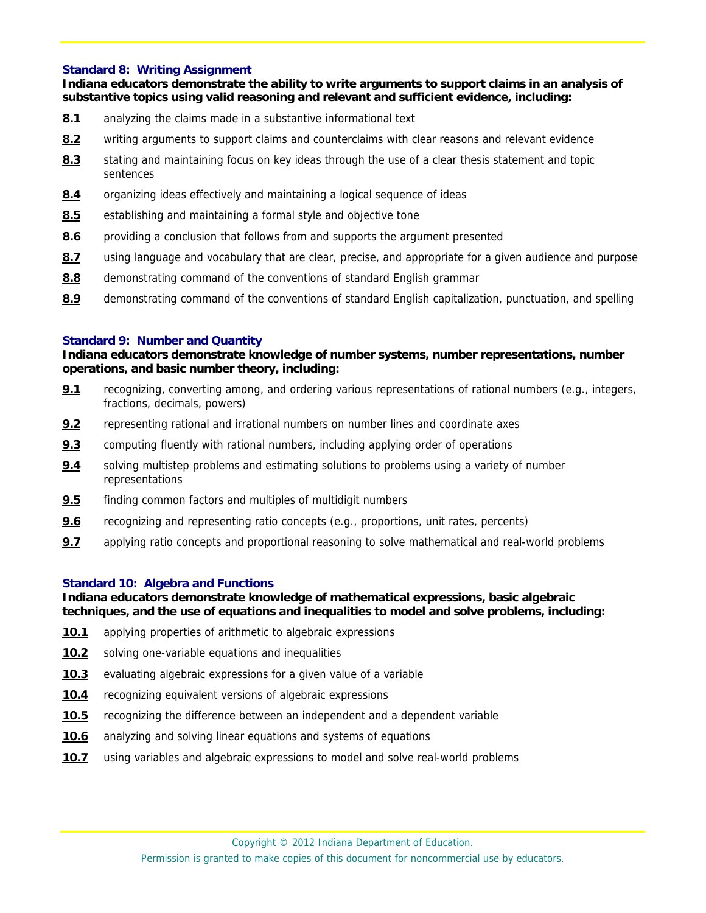#### **Standard 8: Writing Assignment**

**Indiana educators demonstrate the ability to write arguments to support claims in an analysis of substantive topics using valid reasoning and relevant and sufficient evidence, including:** 

- **8.1** analyzing the claims made in a substantive informational text
- **8.2** writing arguments to support claims and counterclaims with clear reasons and relevant evidence
- **8.3** stating and maintaining focus on key ideas through the use of a clear thesis statement and topic sentences
- **8.4** organizing ideas effectively and maintaining a logical sequence of ideas
- 8.5 establishing and maintaining a formal style and objective tone
- **8.6** providing a conclusion that follows from and supports the argument presented
- **8.7** using language and vocabulary that are clear, precise, and appropriate for a given audience and purpose
- **8.8** demonstrating command of the conventions of standard English grammar
- **8.9** demonstrating command of the conventions of standard English capitalization, punctuation, and spelling

## **Standard 9: Number and Quantity**

**Indiana educators demonstrate knowledge of number systems, number representations, number operations, and basic number theory, including:** 

- **9.1** recognizing, converting among, and ordering various representations of rational numbers (e.g., integers, fractions, decimals, powers)
- **9.2** representing rational and irrational numbers on number lines and coordinate axes
- **9.3** computing fluently with rational numbers, including applying order of operations
- **9.4** solving multistep problems and estimating solutions to problems using a variety of number representations
- **9.5** finding common factors and multiples of multidigit numbers
- **9.6** recognizing and representing ratio concepts (e.g., proportions, unit rates, percents)
- **9.7** applying ratio concepts and proportional reasoning to solve mathematical and real-world problems

## **Standard 10: Algebra and Functions**

#### **Indiana educators demonstrate knowledge of mathematical expressions, basic algebraic techniques, and the use of equations and inequalities to model and solve problems, including:**

- **10.1** applying properties of arithmetic to algebraic expressions
- **10.2** solving one-variable equations and inequalities
- **10.3** evaluating algebraic expressions for a given value of a variable
- **10.4** recognizing equivalent versions of algebraic expressions
- **10.5** recognizing the difference between an independent and a dependent variable
- **10.6** analyzing and solving linear equations and systems of equations
- **10.7** using variables and algebraic expressions to model and solve real-world problems